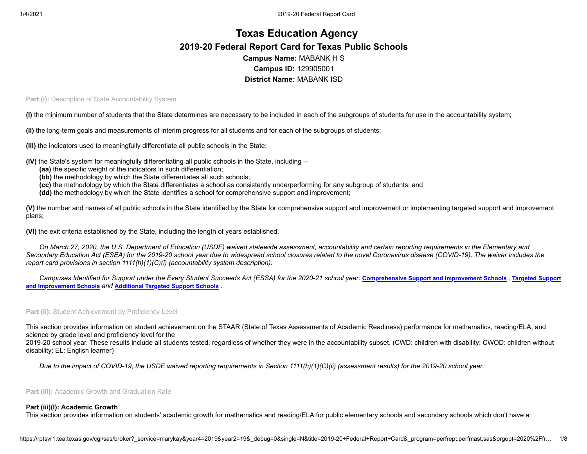# **Texas Education Agency 2019-20 Federal Report Card for Texas Public Schools Campus Name:** MABANK H S **Campus ID:** 129905001 **District Name:** MABANK ISD

**Part (i): Description of State Accountability System** 

**(I)** the minimum number of students that the State determines are necessary to be included in each of the subgroups of students for use in the accountability system;

**(II)** the long-term goals and measurements of interim progress for all students and for each of the subgroups of students;

**(III)** the indicators used to meaningfully differentiate all public schools in the State;

- **(IV)** the State's system for meaningfully differentiating all public schools in the State, including --
	- **(aa)** the specific weight of the indicators in such differentiation;
	- **(bb)** the methodology by which the State differentiates all such schools;
	- **(cc)** the methodology by which the State differentiates a school as consistently underperforming for any subgroup of students; and
	- **(dd)** the methodology by which the State identifies a school for comprehensive support and improvement;

**(V)** the number and names of all public schools in the State identified by the State for comprehensive support and improvement or implementing targeted support and improvement plans;

**(VI)** the exit criteria established by the State, including the length of years established.

*On March 27, 2020, the U.S. Department of Education (USDE) waived statewide assessment, accountability and certain reporting requirements in the Elementary and Secondary Education Act (ESEA) for the 2019-20 school year due to widespread school closures related to the novel Coronavirus disease (COVID-19). The waiver includes the report card provisions in section 1111(h)(1)(C)(i) (accountability system description).*

[Campuses Identified for Support under the Every Student Succeeds Act \(ESSA\) for the 2020-21 school year:](https://tea.texas.gov/sites/default/files/targeted_support_2020.xlsx) [Comprehensive](https://tea.texas.gov/sites/default/files/comprehensive_support_2020.xlsx) Support and Improvement Schools, Targeted Support **and Improvement Schools** *and* **[Additional](https://tea.texas.gov/sites/default/files/additional_targeted_support_2020.xlsx) Targeted Support Schools** *.*

# **Part (ii):** Student Achievement by Proficiency Level

This section provides information on student achievement on the STAAR (State of Texas Assessments of Academic Readiness) performance for mathematics, reading/ELA, and science by grade level and proficiency level for the

2019-20 school year. These results include all students tested, regardless of whether they were in the accountability subset. (CWD: children with disability; CWOD: children without disability; EL: English learner)

*Due to the impact of COVID-19, the USDE waived reporting requirements in Section 1111(h)(1)(C)(ii) (assessment results) for the 2019-20 school year.*

**Part (iii):** Academic Growth and Graduation Rate

# **Part (iii)(I): Academic Growth**

This section provides information on students' academic growth for mathematics and reading/ELA for public elementary schools and secondary schools which don't have a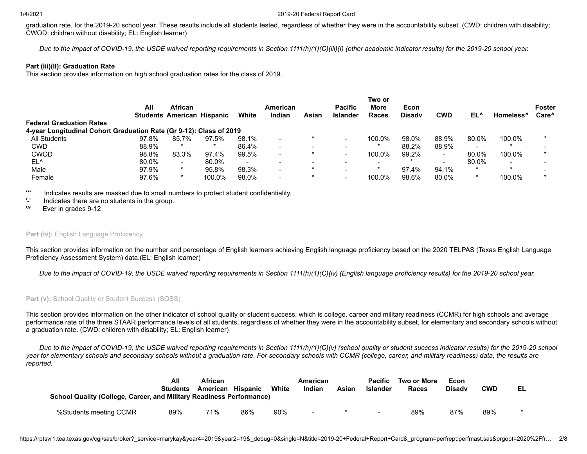graduation rate, for the 2019-20 school year. These results include all students tested, regardless of whether they were in the accountability subset. (CWD: children with disability; CWOD: children without disability; EL: English learner)

*Due to the impact of COVID-19, the USDE waived reporting requirements in Section 1111(h)(1)(C)(iii)(I) (other academic indicator results) for the 2019-20 school year.*

# **Part (iii)(II): Graduation Rate**

This section provides information on high school graduation rates for the class of 2019.

|                                                                     |       |                                                     |         |                          |                           |                          |                                   | Two or |                       |            |       |                          |                                    |
|---------------------------------------------------------------------|-------|-----------------------------------------------------|---------|--------------------------|---------------------------|--------------------------|-----------------------------------|--------|-----------------------|------------|-------|--------------------------|------------------------------------|
|                                                                     | All   | <b>African</b><br><b>Students American Hispanic</b> |         | White                    | <b>American</b><br>Indian | Asian                    | <b>Pacific</b><br><b>Islander</b> | More   | Econ<br><b>Disady</b> | <b>CWD</b> | EL^   |                          | <b>Foster</b><br>Care <sup>^</sup> |
|                                                                     |       |                                                     |         |                          |                           |                          |                                   | Races  |                       |            |       | Homeless <sup>^</sup>    |                                    |
| <b>Federal Graduation Rates</b>                                     |       |                                                     |         |                          |                           |                          |                                   |        |                       |            |       |                          |                                    |
| 4-year Longitudinal Cohort Graduation Rate (Gr 9-12): Class of 2019 |       |                                                     |         |                          |                           |                          |                                   |        |                       |            |       |                          |                                    |
| All Students                                                        | 97.8% | 85.7%                                               | 97.5%   | 98.1%                    |                           |                          |                                   | 100.0% | 98.0%                 | 88.9%      | 80.0% | 100.0%                   |                                    |
| <b>CWD</b>                                                          | 88.9% | $\star$                                             | $\star$ | 86.4%                    |                           | $\overline{\phantom{0}}$ |                                   |        | 88.2%                 | 88.9%      | -     |                          |                                    |
| <b>CWOD</b>                                                         | 98.8% | 83.3%                                               | 97.4%   | 99.5%                    |                           | *                        |                                   | 100.0% | 99.2%                 |            | 80.0% | 100.0%                   |                                    |
| EL^                                                                 | 80.0% | $\overline{\phantom{a}}$                            | 80.0%   | $\overline{\phantom{a}}$ |                           | $\overline{\phantom{0}}$ | $\overline{\phantom{0}}$          |        |                       |            | 80.0% | $\overline{\phantom{0}}$ |                                    |
| Male                                                                | 97.9% |                                                     | 95.8%   | 98.3%                    |                           | $\star$                  |                                   |        | 97.4%                 | 94.1%      |       | $\star$                  |                                    |
| Female                                                              | 97.6% |                                                     | 100.0%  | 98.0%                    |                           |                          |                                   | 100.0% | 98.6%                 | 80.0%      |       | 100.0%                   |                                    |

'\*' Indicates results are masked due to small numbers to protect student confidentiality.

'-' Indicates there are no students in the group.

'^' Ever in grades 9-12

# **Part (iv): English Language Proficiency**

This section provides information on the number and percentage of English learners achieving English language proficiency based on the 2020 TELPAS (Texas English Language Proficiency Assessment System) data.(EL: English learner)

*Due to the impact of COVID-19, the USDE waived reporting requirements in Section 1111(h)(1)(C)(iv) (English language proficiency results) for the 2019-20 school year.*

Part (v): School Quality or Student Success (SQSS)

This section provides information on the other indicator of school quality or student success, which is college, career and military readiness (CCMR) for high schools and average performance rate of the three STAAR performance levels of all students, regardless of whether they were in the accountability subset, for elementary and secondary schools without a graduation rate. (CWD: children with disability; EL: English learner)

*Due to the impact of COVID-19, the USDE waived reporting requirements in Section 1111(h)(1)(C)(v) (school quality or student success indicator results) for the 2019-20 school year for elementary schools and secondary schools without a graduation rate. For secondary schools with CCMR (college, career, and military readiness) data, the results are reported.*

| School Quality (College, Career, and Military Readiness Performance) | All<br><b>Students</b> | <b>African</b><br>American Hispanic |     | White | American<br>Indian       | Asian | <b>Pacific</b><br><b>Islander</b> | Two or More<br>Races | Econ<br><b>Disady</b> | <b>CWD</b> | EL |
|----------------------------------------------------------------------|------------------------|-------------------------------------|-----|-------|--------------------------|-------|-----------------------------------|----------------------|-----------------------|------------|----|
| %Students meeting CCMR                                               | 89%                    | 71%                                 | 86% | 90%   | $\overline{\phantom{0}}$ |       | $\overline{\phantom{0}}$          | 89%                  | 87%                   | 89%        |    |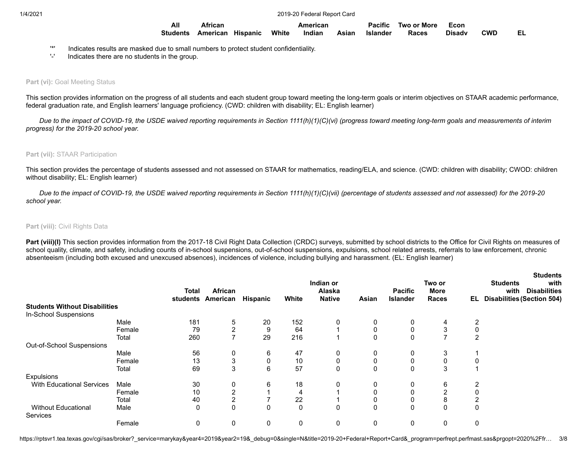| All | African                          | American | <b>Pacific</b> | Two or More  | – Econ |     |  |
|-----|----------------------------------|----------|----------------|--------------|--------|-----|--|
|     | Students American Hispanic White | Indian   | Asian Islander | <b>Races</b> | Disadv | CWD |  |

- '\*' Indicates results are masked due to small numbers to protect student confidentiality.
- '-' Indicates there are no students in the group.

# **Part (vi): Goal Meeting Status**

This section provides information on the progress of all students and each student group toward meeting the long-term goals or interim objectives on STAAR academic performance, federal graduation rate, and English learners' language proficiency. (CWD: children with disability; EL: English learner)

*Due to the impact of COVID-19, the USDE waived reporting requirements in Section 1111(h)(1)(C)(vi) (progress toward meeting long-term goals and measurements of interim progress) for the 2019-20 school year.*

#### **Part (vii):** STAAR Participation

This section provides the percentage of students assessed and not assessed on STAAR for mathematics, reading/ELA, and science. (CWD: children with disability; CWOD: children without disability; EL: English learner)

*Due to the impact of COVID-19, the USDE waived reporting requirements in Section 1111(h)(1)(C)(vii) (percentage of students assessed and not assessed) for the 2019-20 school year.*

### **Part (viii): Civil Rights Data**

Part (viii)(I) This section provides information from the 2017-18 Civil Right Data Collection (CRDC) surveys, submitted by school districts to the Office for Civil Rights on measures of school quality, climate, and safety, including counts of in-school suspensions, out-of-school suspensions, expulsions, school related arrests, referrals to law enforcement, chronic absenteeism (including both excused and unexcused absences), incidences of violence, including bullying and harassment. (EL: English learner)

|                                      |        | Total<br>students | <b>African</b><br>American | <b>Hispanic</b> | White | Indian or<br>Alaska<br><b>Native</b> | Asian       | <b>Pacific</b><br><b>Islander</b> | Two or<br><b>More</b><br>Races | EL           | <b>Students</b><br>with<br><b>Students</b><br><b>Disabilities</b><br>with<br><b>Disabilities (Section 504)</b> |
|--------------------------------------|--------|-------------------|----------------------------|-----------------|-------|--------------------------------------|-------------|-----------------------------------|--------------------------------|--------------|----------------------------------------------------------------------------------------------------------------|
| <b>Students Without Disabilities</b> |        |                   |                            |                 |       |                                      |             |                                   |                                |              |                                                                                                                |
| In-School Suspensions                |        |                   |                            |                 |       |                                      |             |                                   |                                |              |                                                                                                                |
|                                      | Male   | 181               | 5                          | 20              | 152   | 0                                    | 0           | 0                                 | 4                              |              |                                                                                                                |
|                                      | Female | 79                | $\overline{2}$             | 9               | 64    |                                      | 0           | 0                                 | 3                              |              |                                                                                                                |
|                                      | Total  | 260               | ⇁                          | 29              | 216   |                                      | 0           | 0                                 | ⇁                              | 2            |                                                                                                                |
| Out-of-School Suspensions            |        |                   |                            |                 |       |                                      |             |                                   |                                |              |                                                                                                                |
|                                      | Male   | 56                | 0                          | 6               | 47    | 0                                    | 0           | 0                                 | 3                              |              |                                                                                                                |
|                                      | Female | 13                | 3                          | 0               | 10    | 0                                    | 0           | 0                                 | 0                              |              |                                                                                                                |
|                                      | Total  | 69                | 3                          | 6               | 57    | $\mathbf 0$                          | $\mathbf 0$ | 0                                 | 3                              |              |                                                                                                                |
| <b>Expulsions</b>                    |        |                   |                            |                 |       |                                      |             |                                   |                                |              |                                                                                                                |
| <b>With Educational Services</b>     | Male   | 30                | 0                          | 6               | 18    | 0                                    | 0           | 0                                 | 6                              |              |                                                                                                                |
|                                      | Female | 10                | $\overline{2}$             |                 | 4     |                                      | $\mathbf 0$ | 0                                 | $\overline{2}$                 |              |                                                                                                                |
|                                      | Total  | 40                | 2                          |                 | 22    |                                      | 0           | 0                                 | 8                              |              |                                                                                                                |
| <b>Without Educational</b>           | Male   | 0                 | 0                          | 0               | 0     | 0                                    | 0           | 0                                 | 0                              | $\mathbf{0}$ |                                                                                                                |
| <b>Services</b>                      |        |                   |                            |                 |       |                                      |             |                                   |                                |              |                                                                                                                |
|                                      | Female | 0                 | 0                          | 0               | 0     | 0                                    | 0           | 0                                 | 0                              |              |                                                                                                                |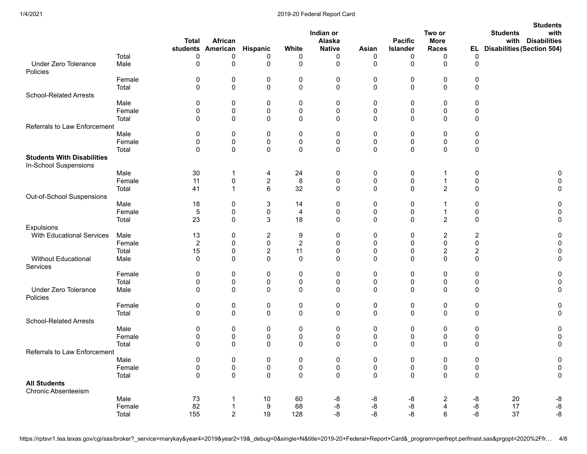|                                                            |        | <b>Total</b> | African<br>students American | Hispanic              | White          | Indian or<br>Alaska<br><b>Native</b> | Asian       | <b>Pacific</b><br><b>Islander</b> | Two or<br><b>More</b><br><b>Races</b> |                         | <b>Students</b><br><b>Students</b><br>with<br><b>Disabilities</b><br>with<br>EL Disabilities (Section 504) |
|------------------------------------------------------------|--------|--------------|------------------------------|-----------------------|----------------|--------------------------------------|-------------|-----------------------------------|---------------------------------------|-------------------------|------------------------------------------------------------------------------------------------------------|
|                                                            | Total  | 0            | 0                            | 0                     | 0              | 0                                    | 0           | 0                                 | 0                                     | 0                       |                                                                                                            |
| <b>Under Zero Tolerance</b><br>Policies                    | Male   | 0            | 0                            | 0                     | 0              | $\mathbf 0$                          | 0           | 0                                 | 0                                     | 0                       |                                                                                                            |
|                                                            | Female | 0            | 0                            | 0                     | 0              | 0                                    | 0           | 0                                 | 0                                     | 0                       |                                                                                                            |
|                                                            | Total  | 0            | 0                            | 0                     | 0              | $\mathbf 0$                          | 0           | 0                                 | 0                                     | 0                       |                                                                                                            |
| <b>School-Related Arrests</b>                              |        |              |                              |                       |                |                                      |             |                                   |                                       |                         |                                                                                                            |
|                                                            | Male   | 0            | 0                            | 0                     | 0              | 0                                    | 0           | 0                                 | 0                                     | 0                       |                                                                                                            |
|                                                            | Female | 0            | $\pmb{0}$                    | 0                     | 0              | $\pmb{0}$                            | 0           | 0                                 | $\pmb{0}$                             | 0                       |                                                                                                            |
|                                                            | Total  | 0            | 0                            | 0                     | 0              | 0                                    | 0           | 0                                 | 0                                     | 0                       |                                                                                                            |
| Referrals to Law Enforcement                               |        |              |                              |                       |                |                                      |             |                                   |                                       |                         |                                                                                                            |
|                                                            | Male   | 0            | 0                            | 0                     | 0              | 0                                    | 0           | 0                                 | 0                                     | 0                       |                                                                                                            |
|                                                            | Female | 0            | $\pmb{0}$                    | 0                     | $\pmb{0}$      | $\pmb{0}$                            | 0           | $\pmb{0}$                         | 0                                     | 0                       |                                                                                                            |
|                                                            | Total  | 0            | 0                            | 0                     | 0              | 0                                    | 0           | 0                                 | 0                                     | 0                       |                                                                                                            |
| <b>Students With Disabilities</b><br>In-School Suspensions |        |              |                              |                       |                |                                      |             |                                   |                                       |                         |                                                                                                            |
|                                                            | Male   | 30           | 1                            |                       | 24             |                                      |             |                                   | 1                                     |                         |                                                                                                            |
|                                                            | Female |              |                              | 4                     |                | 0                                    | 0           | 0                                 |                                       | 0                       |                                                                                                            |
|                                                            |        | 11           | $\pmb{0}$<br>$\overline{1}$  | $\boldsymbol{2}$<br>6 | 8              | $\pmb{0}$<br>$\mathbf 0$             | 0<br>0      | $\pmb{0}$<br>$\mathbf 0$          | $\mathbf{1}$<br>$\overline{2}$        | 0<br>0                  | O                                                                                                          |
|                                                            | Total  | 41           |                              |                       | 32             |                                      |             |                                   |                                       |                         |                                                                                                            |
| Out-of-School Suspensions                                  |        |              |                              |                       |                |                                      |             |                                   |                                       |                         | 0                                                                                                          |
|                                                            | Male   | 18           | 0                            | 3                     | 14             | 0                                    | 0           | 0                                 |                                       | 0                       |                                                                                                            |
|                                                            | Female | 5            | 0                            | 0                     | 4              | 0                                    | 0           | 0                                 | 1                                     | 0                       | 0                                                                                                          |
|                                                            | Total  | 23           | 0                            | 3                     | 18             | $\mathbf 0$                          | $\mathbf 0$ | 0                                 | $\overline{2}$                        | 0                       | 0                                                                                                          |
| Expulsions                                                 |        |              |                              |                       |                |                                      |             |                                   |                                       |                         |                                                                                                            |
| <b>With Educational Services</b>                           | Male   | 13           | 0                            | $\overline{c}$        | 9              | 0                                    | 0           | 0                                 | $\overline{c}$                        | $\overline{\mathbf{c}}$ |                                                                                                            |
|                                                            | Female | 2            | 0                            | 0                     | $\overline{c}$ | 0                                    | 0           | 0                                 | 0                                     | 0                       | 0                                                                                                          |
|                                                            | Total  | 15           | 0                            | $\boldsymbol{2}$      | 11             | 0                                    | 0           | 0                                 | $\overline{c}$                        | $\overline{\mathbf{c}}$ |                                                                                                            |
| Without Educational<br>Services                            | Male   | 0            | $\mathbf 0$                  | 0                     | 0              | $\Omega$                             | $\Omega$    | $\mathbf 0$                       | $\mathbf 0$                           | $\mathbf 0$             | 0                                                                                                          |
|                                                            | Female | 0            | 0                            | 0                     | 0              | 0                                    | 0           | 0                                 | 0                                     | 0                       | 0                                                                                                          |
|                                                            | Total  | 0            | 0                            | 0                     | $\pmb{0}$      | $\mathbf 0$                          | 0           | 0                                 | 0                                     | 0                       |                                                                                                            |
| <b>Under Zero Tolerance</b><br>Policies                    | Male   | 0            | $\mathbf 0$                  | 0                     | 0              | $\mathbf 0$                          | $\mathbf 0$ | $\mathbf 0$                       | 0                                     | 0                       | 0                                                                                                          |
|                                                            | Female | 0            | 0                            | 0                     | 0              | 0                                    | 0           | 0                                 | 0                                     | 0                       | 0                                                                                                          |
|                                                            | Total  | 0            | $\mathbf 0$                  | 0                     | $\pmb{0}$      | $\mathbf{0}$                         | 0           | $\mathbf 0$                       | $\mathbf 0$                           | 0                       | $\Omega$                                                                                                   |
| <b>School-Related Arrests</b>                              |        |              |                              |                       |                |                                      |             |                                   |                                       |                         |                                                                                                            |
|                                                            | Male   | 0            | 0                            | 0                     | 0              | 0                                    | 0           | 0                                 | 0                                     | 0                       | O                                                                                                          |
|                                                            | Female | 0            | 0                            | 0                     | 0              | 0                                    | 0           | 0                                 | 0                                     | 0                       | 0                                                                                                          |
|                                                            | Total  | 0            | 0                            | 0                     | $\mathbf 0$    | $\Omega$                             | $\Omega$    | $\Omega$                          | 0                                     | 0                       | 0                                                                                                          |
| Referrals to Law Enforcement                               |        |              |                              |                       |                |                                      |             |                                   |                                       |                         |                                                                                                            |
|                                                            | Male   | 0            | 0                            | 0                     | 0              | $\pmb{0}$                            | 0           | 0                                 | 0                                     | 0                       | $\pmb{0}$                                                                                                  |
|                                                            | Female | $\pmb{0}$    | 0                            | $\pmb{0}$             | $\pmb{0}$      | $\pmb{0}$                            | 0           | $\pmb{0}$                         | 0                                     | $\pmb{0}$               | $\pmb{0}$                                                                                                  |
|                                                            | Total  | $\pmb{0}$    | $\pmb{0}$                    | $\mathbf 0$           | $\pmb{0}$      | $\pmb{0}$                            | $\mathbf 0$ | $\pmb{0}$                         | $\pmb{0}$                             | $\pmb{0}$               | $\pmb{0}$                                                                                                  |
| <b>All Students</b>                                        |        |              |                              |                       |                |                                      |             |                                   |                                       |                         |                                                                                                            |
| <b>Chronic Absenteeism</b>                                 |        |              |                              |                       |                |                                      |             |                                   |                                       |                         |                                                                                                            |
|                                                            | Male   | 73           | $\mathbf 1$                  | 10                    | 60             | -8                                   | -8          | -8                                | $\overline{c}$                        | -8                      | 20<br>$\textnormal{-}8$                                                                                    |
|                                                            | Female | 82           | $\overline{1}$               | $\boldsymbol{9}$      | 68             | -8                                   | -8          | $\mbox{-}8$                       | $\overline{\mathbf{4}}$               | -8                      | $\textnormal{-}8$<br>17                                                                                    |
|                                                            | Total  | 155          | $\overline{2}$               | 19                    | 128            | -8                                   | -8          | -8                                | 6                                     | -8                      | $-8$<br>37                                                                                                 |
|                                                            |        |              |                              |                       |                |                                      |             |                                   |                                       |                         |                                                                                                            |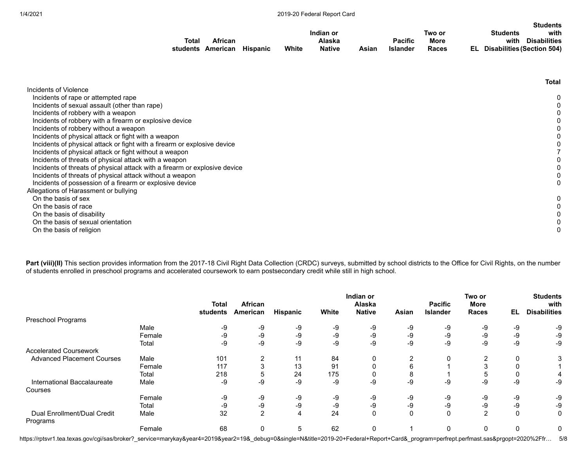|       |                   |                 |       |               |       |                 |        |    |                 | <b>Students</b>            |
|-------|-------------------|-----------------|-------|---------------|-------|-----------------|--------|----|-----------------|----------------------------|
|       |                   |                 |       | Indian or     |       |                 | Two or |    | <b>Students</b> | with                       |
| Total | African           |                 |       | Alaska        |       | <b>Pacific</b>  | More   |    | with            | <b>Disabilities</b>        |
|       | students American | <b>Hispanic</b> | White | <b>Native</b> | Asian | <b>Islander</b> | Races  | EL |                 | Disabilities (Section 504) |

|                                                                            | Total |
|----------------------------------------------------------------------------|-------|
| Incidents of Violence                                                      |       |
| Incidents of rape or attempted rape                                        |       |
| Incidents of sexual assault (other than rape)                              |       |
| Incidents of robbery with a weapon                                         |       |
| Incidents of robbery with a firearm or explosive device                    |       |
| Incidents of robbery without a weapon                                      |       |
| Incidents of physical attack or fight with a weapon                        |       |
| Incidents of physical attack or fight with a firearm or explosive device   |       |
| Incidents of physical attack or fight without a weapon                     |       |
| Incidents of threats of physical attack with a weapon                      |       |
| Incidents of threats of physical attack with a firearm or explosive device |       |
| Incidents of threats of physical attack without a weapon                   |       |
| Incidents of possession of a firearm or explosive device                   |       |
| Allegations of Harassment or bullying                                      |       |
| On the basis of sex                                                        |       |
| On the basis of race                                                       |       |
| On the basis of disability                                                 |       |
| On the basis of sexual orientation                                         |       |
| On the basis of religion                                                   |       |

Part (viii)(II) This section provides information from the 2017-18 Civil Right Data Collection (CRDC) surveys, submitted by school districts to the Office for Civil Rights, on the number of students enrolled in preschool programs and accelerated coursework to earn postsecondary credit while still in high school.

|                                            |        | <b>Total</b><br>students | <b>African</b><br>American | Hispanic | White | Indian or<br>Alaska<br><b>Native</b> | Asian        | <b>Pacific</b><br><b>Islander</b> | Two or<br><b>More</b><br><b>Races</b> | EL   | <b>Students</b><br>with<br><b>Disabilities</b> |
|--------------------------------------------|--------|--------------------------|----------------------------|----------|-------|--------------------------------------|--------------|-----------------------------------|---------------------------------------|------|------------------------------------------------|
| Preschool Programs                         |        |                          |                            |          |       |                                      |              |                                   |                                       |      |                                                |
|                                            | Male   | -9                       | -9                         | -9       | -9    | -9                                   | -9           | -9                                | -9                                    | -9   | -9                                             |
|                                            | Female | -9                       | $-9$                       | -9       | $-9$  | -9                                   | -9           | -9                                | -9                                    | $-9$ | -9                                             |
|                                            | Total  | -9                       | -9                         | -9       | -9    | $-9$                                 | $-9$         | -9                                | -9                                    | -9   | -9                                             |
| <b>Accelerated Coursework</b>              |        |                          |                            |          |       |                                      |              |                                   |                                       |      |                                                |
| <b>Advanced Placement Courses</b>          | Male   | 101                      | 2                          | 11       | 84    | 0                                    | ◠            | $\Omega$                          |                                       | 0    | 3                                              |
|                                            | Female | 117                      | 3                          | 13       | 91    |                                      |              |                                   |                                       | 0    |                                                |
|                                            | Total  | 218                      | 5                          | 24       | 175   |                                      |              |                                   |                                       | 0    | 4                                              |
| International Baccalaureate                | Male   | -9                       | $-9$                       | -9       | -9    | $-9$                                 | -9           | -9                                | -9                                    | -9   | -9                                             |
| Courses                                    |        |                          |                            |          |       |                                      |              |                                   |                                       |      |                                                |
|                                            | Female | -9                       | -9                         | -9       | -9    | -9                                   | -9           | -9                                | -9                                    | -9   | -9                                             |
|                                            | Total  | -9                       | $-9$                       | -9       | -9    | -9                                   | -9           | -9                                | -9                                    | -9   | -9                                             |
| Enrollment/Dual Credit<br>Dual<br>Programs | Male   | 32                       | $\overline{2}$             | 4        | 24    | 0                                    | $\mathbf{0}$ | $\Omega$                          | $\overline{2}$                        | 0    | 0                                              |
|                                            | Female | 68                       | 0                          | 5        | 62    | 0                                    |              | $\mathbf{0}$                      | $\mathbf{0}$                          | 0    | 0                                              |

https://rptsvr1.tea.texas.gov/cgi/sas/broker?\_service=marykay&year4=2019&year2=19&\_debug=0&single=N&title=2019-20+Federal+Report+Card&\_program=perfrept.perfmast.sas&prgopt=2020%2Ffr… 5/8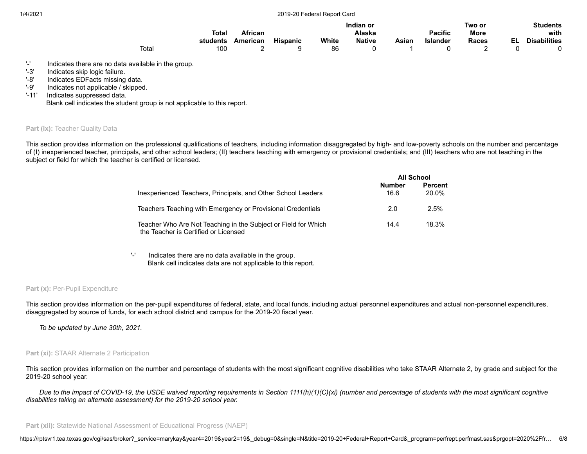|       |          |                |                 |       | Indian or     |       |                 | Two or      |    | <b>Students</b>     |
|-------|----------|----------------|-----------------|-------|---------------|-------|-----------------|-------------|----|---------------------|
|       | Total    | <b>African</b> |                 |       | Alaska        |       | <b>Pacific</b>  | <b>More</b> |    | with                |
|       | students | American       | <b>Hispanic</b> | White | <b>Native</b> | Asiar | <b>Islander</b> | Races       | EL | <b>Disabilities</b> |
| Total | 100      |                |                 | 86    |               |       |                 |             |    |                     |

'-' Indicates there are no data available in the group.

'-3' Indicates skip logic failure.

'-8' Indicates EDFacts missing data.

'-9' Indicates not applicable / skipped.

'-11' Indicates suppressed data.

Blank cell indicates the student group is not applicable to this report.

#### **Part (ix): Teacher Quality Data**

This section provides information on the professional qualifications of teachers, including information disaggregated by high- and low-poverty schools on the number and percentage of (I) inexperienced teacher, principals, and other school leaders; (II) teachers teaching with emergency or provisional credentials; and (III) teachers who are not teaching in the subject or field for which the teacher is certified or licensed.

|                                                                                                        |                       | <b>All School</b>       |
|--------------------------------------------------------------------------------------------------------|-----------------------|-------------------------|
| Inexperienced Teachers, Principals, and Other School Leaders                                           | <b>Number</b><br>16.6 | <b>Percent</b><br>20.0% |
| Teachers Teaching with Emergency or Provisional Credentials                                            | 2.0                   | 2.5%                    |
| Teacher Who Are Not Teaching in the Subject or Field for Which<br>the Teacher is Certified or Licensed | 14.4                  | 18.3%                   |

'-' Indicates there are no data available in the group. Blank cell indicates data are not applicable to this report.

#### Part (x): Per-Pupil Expenditure

This section provides information on the per-pupil expenditures of federal, state, and local funds, including actual personnel expenditures and actual non-personnel expenditures, disaggregated by source of funds, for each school district and campus for the 2019-20 fiscal year.

*To be updated by June 30th, 2021.*

# **Part (xi): STAAR Alternate 2 Participation**

This section provides information on the number and percentage of students with the most significant cognitive disabilities who take STAAR Alternate 2, by grade and subject for the 2019-20 school year.

*Due to the impact of COVID-19, the USDE waived reporting requirements in Section 1111(h)(1)(C)(xi) (number and percentage of students with the most significant cognitive disabilities taking an alternate assessment) for the 2019-20 school year.*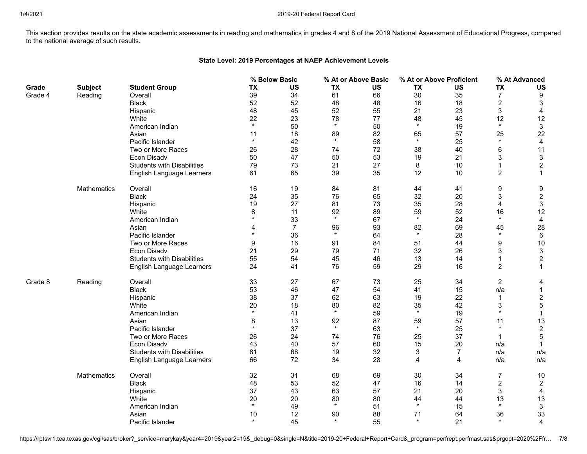This section provides results on the state academic assessments in reading and mathematics in grades 4 and 8 of the 2019 National Assessment of Educational Progress, compared to the national average of such results.

# **State Level: 2019 Percentages at NAEP Achievement Levels**

|         |                |                                   |           | % Below Basic  |           | % At or Above Basic |           | % At or Above Proficient |                | % At Advanced    |
|---------|----------------|-----------------------------------|-----------|----------------|-----------|---------------------|-----------|--------------------------|----------------|------------------|
| Grade   | <b>Subject</b> | <b>Student Group</b>              | <b>TX</b> | <b>US</b>      | <b>TX</b> | <b>US</b>           | <b>TX</b> | <b>US</b>                | <b>TX</b>      | <b>US</b>        |
| Grade 4 | Reading        | Overall                           | 39        | 34             | 61        | 66                  | 30        | 35                       | $\overline{7}$ | 9                |
|         |                | <b>Black</b>                      | 52        | 52             | 48        | 48                  | 16        | 18                       | $\overline{c}$ | 3                |
|         |                | Hispanic                          | 48        | 45             | 52        | 55                  | 21        | 23                       | 3              | 4                |
|         |                | White                             | 22        | 23             | 78        | 77                  | 48        | 45                       | 12             | 12               |
|         |                | American Indian                   | $\star$   | 50             | $\star$   | 50                  | $\star$   | 19                       | $\star$        | 3                |
|         |                | Asian                             | 11        | 18             | 89        | 82                  | 65        | 57                       | 25             | 22               |
|         |                | Pacific Islander                  | $\star$   | 42             | $\star$   | 58                  | $\star$   | 25                       | $\star$        | $\overline{4}$   |
|         |                | Two or More Races                 | 26        | 28             | 74        | 72                  | 38        | 40                       | 6              | 11               |
|         |                | Econ Disadv                       | 50        | 47             | 50        | 53                  | 19        | 21                       | 3              | $\mathbf{3}$     |
|         |                | <b>Students with Disabilities</b> | 79        | 73             | 21        | 27                  | 8         | 10                       | 1              | $\boldsymbol{2}$ |
|         |                | English Language Learners         | 61        | 65             | 39        | 35                  | 12        | 10                       | $\overline{c}$ | $\mathbf{1}$     |
|         | Mathematics    | Overall                           | 16        | 19             | 84        | 81                  | 44        | 41                       | 9              | 9                |
|         |                | <b>Black</b>                      | 24        | 35             | 76        | 65                  | 32        | 20                       | 3              | $\overline{c}$   |
|         |                | Hispanic                          | 19        | 27             | 81        | 73                  | 35        | 28                       | 4              | $\mathbf{3}$     |
|         |                | White                             | $\,8\,$   | 11             | 92        | 89                  | 59        | 52                       | 16             | 12               |
|         |                | American Indian                   | $\star$   | 33             | $\star$   | 67                  | $\star$   | 24                       | $\star$        | 4                |
|         |                | Asian                             | 4         | $\overline{7}$ | 96        | 93                  | 82        | 69                       | 45             | 28               |
|         |                | Pacific Islander                  | $\star$   | 36             | $\star$   | 64                  | $\star$   | 28                       | $\star$        | 6                |
|         |                | Two or More Races                 | 9         | 16             | 91        | 84                  | 51        | 44                       | 9              | $10$             |
|         |                | Econ Disadv                       | 21        | 29             | 79        | 71                  | 32        | 26                       | 3              | $\mathbf{3}$     |
|         |                | <b>Students with Disabilities</b> | 55        | 54             | 45        | 46                  | 13        | 14                       | 1              | $\boldsymbol{2}$ |
|         |                | English Language Learners         | 24        | 41             | 76        | 59                  | 29        | 16                       | $\overline{c}$ | $\mathbf{1}$     |
| Grade 8 | Reading        | Overall                           | 33        | 27             | 67        | 73                  | 25        | 34                       | $\overline{2}$ | 4                |
|         |                | <b>Black</b>                      | 53        | 46             | 47        | 54                  | 41        | 15                       | n/a            | $\mathbf{1}$     |
|         |                | Hispanic                          | 38        | 37             | 62        | 63                  | 19        | 22                       |                | $\overline{c}$   |
|         |                | White                             | 20        | 18             | 80        | 82                  | 35        | 42                       | 3              | $\overline{5}$   |
|         |                | American Indian                   | $\star$   | 41             | $\star$   | 59                  | $\star$   | 19                       | $\star$        | $\mathbf{1}$     |
|         |                | Asian                             | 8         | 13             | 92        | 87                  | 59        | 57                       | 11             | 13               |
|         |                | Pacific Islander                  | $\star$   | 37             | $\star$   | 63                  | $\star$   | 25                       | $\star$        | $\overline{c}$   |
|         |                | Two or More Races                 | 26        | 24             | 74        | 76                  | 25        | 37                       | 1              | $\sqrt{5}$       |
|         |                | Econ Disadv                       | 43        | 40             | 57        | 60                  | 15        | 20                       | n/a            |                  |
|         |                | <b>Students with Disabilities</b> | 81        | 68             | 19        | 32                  | 3         | $\overline{7}$           | n/a            | n/a              |
|         |                | English Language Learners         | 66        | 72             | 34        | 28                  | 4         | 4                        | n/a            | n/a              |
|         | Mathematics    | Overall                           | 32        | 31             | 68        | 69                  | 30        | 34                       | 7              | 10               |
|         |                | <b>Black</b>                      | 48        | 53             | 52        | 47                  | 16        | 14                       | $\overline{c}$ | $\overline{c}$   |
|         |                | Hispanic                          | 37        | 43             | 63        | 57                  | 21        | 20                       | 3              | 4                |
|         |                | White                             | 20        | 20             | 80        | 80                  | 44        | 44                       | 13             | 13               |
|         |                | American Indian                   | $\star$   | 49             | $\star$   | 51                  | $\star$   | 15                       | $\star$        | $\mathbf{3}$     |
|         |                | Asian                             | 10        | 12             | 90        | 88                  | 71        | 64                       | 36             | 33               |
|         |                | Pacific Islander                  | $\star$   | 45             | $\star$   | 55                  | $\star$   | 21                       | $\star$        | $\overline{4}$   |

https://rptsvr1.tea.texas.gov/cgi/sas/broker?\_service=marykay&year4=2019&year2=19&\_debug=0&single=N&title=2019-20+Federal+Report+Card&\_program=perfrept.perfmast.sas&prgopt=2020%2Ffr... 7/8